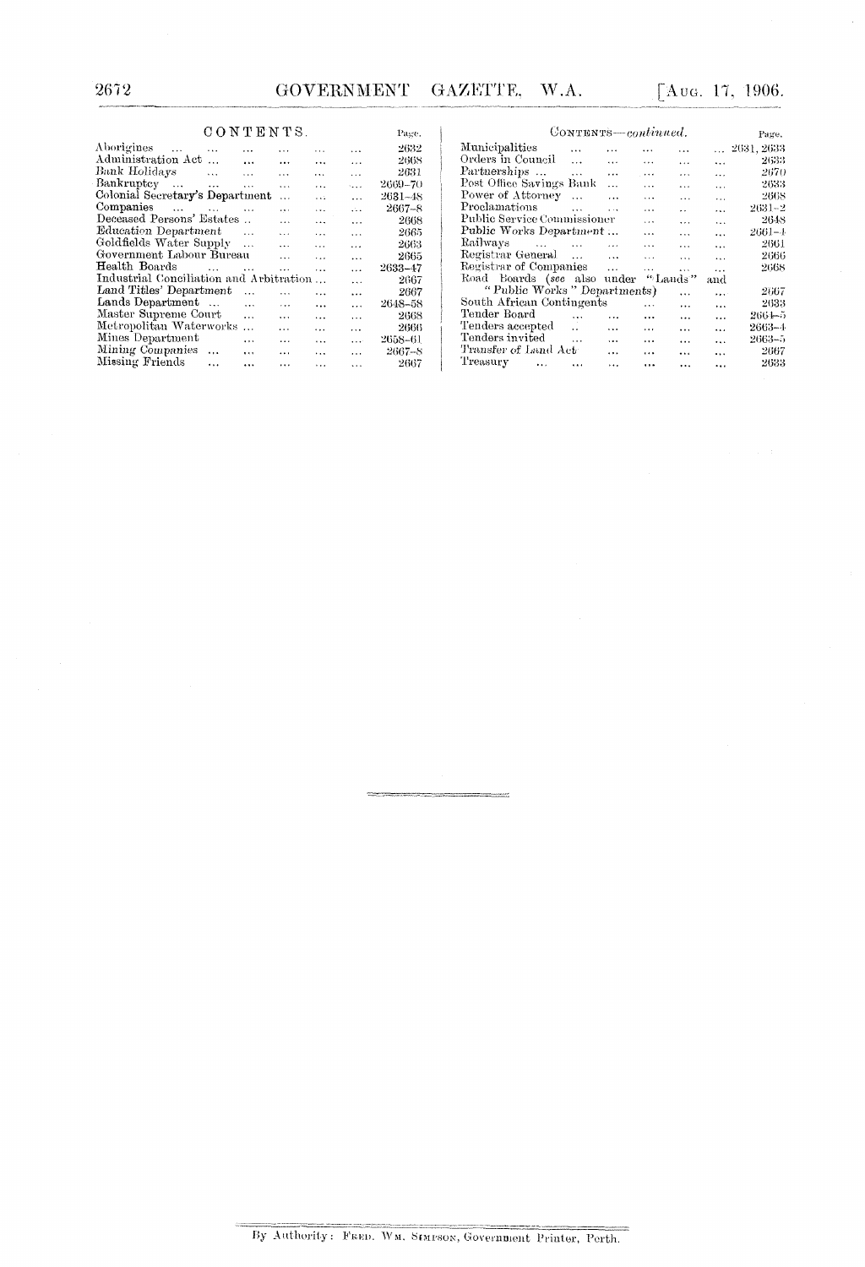## $\begin{array}{lll} \text{C O N T EN TS.} \end{array}$

| CONTENTS.                                      |                      |                |                      |              | Page.      |
|------------------------------------------------|----------------------|----------------|----------------------|--------------|------------|
| Aborigines<br>$\sim$<br>$\ddotsc$              |                      |                |                      |              | 2632       |
| Administration Act                             | $\cdots$             | $\cdots$       | $\cdots$             | $\cdots$     | 2668       |
| Bank Holidays<br>$\ddotsc$                     | $\cdots$             | $\cdots$       | $\cdots$             | $\cdots$     | 2631       |
| Bankruptcy<br>$\sim$ 4.4 $\sigma$<br>$\ddotsc$ | $\ddot{\phantom{a}}$ | $\ddotsc$      | .                    | $\sim$       | 2669–70    |
| Colonial Secretary's Department                |                      | $\ddotsc$      | $\cdots$             | $\ddotsc$    | 2631–48    |
| Companies<br><b>Castle Contract</b>            | $\cdots$             | $\cdots$       | $\cdots$             | $\mathbf{A}$ | $2667 - 8$ |
| Deceased Persons' Estates                      |                      | $\ddotsc$      | $\cdots$             | $\cdots$     | 2668       |
| <b>Education Department</b>                    | $\cdots$             | $\cdots$       | $\ddotsc$            | $\ddotsc$    | 2665       |
| Goldfields Water Supply                        | $\ddot{\phantom{a}}$ | $\overline{a}$ | $\ddotsc$            | $\ddotsc$    | 2663       |
| Government Labour Bureau                       |                      | $\cdots$       | $\ddotsc$            | $\ddotsc$    | 2665       |
| Health Boards<br>$\sim$ $\sim$                 | $\ddotsc$            | $\cdots$       | $\ddotsc$            | $\cdots$     | 2633–47    |
| Industrial Conciliation and Arbitration        |                      |                | $\ddotsc$            | $\cdots$     | 2667       |
| Land Titles' Department                        | $\ddotsc$            | $\cdot$ .      | .                    | $\ddotsc$    | 2667       |
| Lands Department                               | $\ddotsc$            | $\cdots$       | $\cdot$ $\cdot$      | $\cdots$     | 2648–58    |
| Master Supreme Court                           | $\cdots$             | $\ddotsc$      | $\ddot{\phantom{a}}$ | $\cdots$     | 2668       |
| Metropolitan Waterworks                        | $\ddotsc$            | $\cdots$       | $\ddotsc$            | $\cdots$     | 2666       |
| Mines Department                               | $\cdots$             | $\cdots$       | $\cdots$             | $\cdots$     | 2658-61    |
| Mining Companies<br>$\cdots$                   | $\cdots$             | $\cdots$       | $\ddot{\phantom{a}}$ | .            | $2667 - 8$ |
| Missing Friends<br>$\sim$                      |                      | .              | $\cdots$             | .            | 2667       |

| CONTENTS-continued.                     | Page.                |                         |                      |                      |                      |                     |
|-----------------------------------------|----------------------|-------------------------|----------------------|----------------------|----------------------|---------------------|
| Municipalities                          | $\ddotsc$            |                         |                      |                      |                      | $\ldots$ 2631, 2633 |
| Orders in Council                       | $\ddots$             | $\ddotsc$               | $\cdots$             | $\ddotsc$            | $\ddotsc$            | 2633                |
| Partnerships                            | $\ddotsc$            | $\ldots$                | $\cdots$             | $\cdots$             | $\ddotsc$            | 2670                |
| Post Office Savings Bank                |                      | .                       | $\cdots$             | $\ddotsc$            | $\cdots$             | 2633                |
| Power of Attorney                       | $\ddotsc$            | $\cdots$                | $\cdots$             | $\cdots$             | $\ddot{\phantom{a}}$ | 2668                |
| Proclamations                           | $\cdots$             | $\cdots$                | $\cdots$             | $\ddot{\phantom{a}}$ | $\ddot{\phantom{a}}$ | 2631~2              |
| Public Service Commissioner             |                      |                         | $\cdots$             | $\cdots$             | $\ddotsc$            | 2648                |
| Public Works Department                 |                      |                         | $\cdots$             | $\cdots$             | $\ddotsc$            | 2661-1              |
| Railways<br>and the company of the      |                      | $\sim 100$ km s $^{-1}$ | $\cdots$             | $\ddotsc$            | $\ddot{\phantom{a}}$ | 2661                |
| Registrar General                       |                      |                         | $\ddotsc$            | $\cdots$             | $\ddotsc$            | 2666                |
| Registrar of Companies                  |                      | $\sim$ 100 $\sim$       | $\ddotsc$            | $\cdots$             | $\ddotsc$            | 2668                |
| Road Boards (see also under             |                      |                         |                      | "Lands"              | and                  |                     |
| "Public Works" Departments)<br>$\cdots$ |                      |                         |                      |                      |                      | 2667                |
| South African Contingents               |                      |                         | $\cdots$             | $\cdots$             | $\ddotsc$            | 2633                |
| Tender Board                            | $\cdots$             | .                       | $\ddotsc$            | .                    | $\ddotsc$            | 2664-5              |
| Tenders accepted                        | $\ddot{\phantom{a}}$ | $\cdots$                | $\ddot{\phantom{a}}$ | $\cdots$             | $\ddotsc$            | 2663-4              |
| Tenders invited                         | $\ddotsc$            | $\cdots$                | $\cdots$             |                      | $\ddot{\phantom{a}}$ | 2663-5              |
| Transfer of Land Act-                   |                      | $\cdots$                | $\cdots$             | $\cdots$             | $\ddotsc$            | 2667                |
| Treasury<br>$\ddotsc$                   |                      | $\ddotsc$               |                      |                      |                      | 2633                |

By Authority: FRED. WM. SIMPSON, GOVERNMENT Printer, Perth.